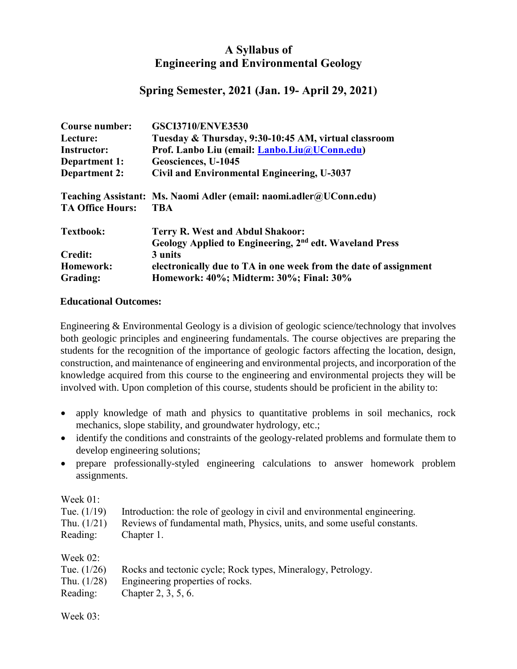## **A Syllabus of Engineering and Environmental Geology**

## **Spring Semester, 2021 (Jan. 19- April 29, 2021)**

| <b>Course number:</b>   | <b>GSCI3710/ENVE3530</b>                                            |  |
|-------------------------|---------------------------------------------------------------------|--|
| Lecture:                | Tuesday & Thursday, 9:30-10:45 AM, virtual classroom                |  |
| <b>Instructor:</b>      | Prof. Lanbo Liu (email: Lanbo.Liu@UConn.edu)                        |  |
| Department 1:           | Geosciences, U-1045                                                 |  |
| <b>Department 2:</b>    | Civil and Environmental Engineering, U-3037                         |  |
|                         | Teaching Assistant: Ms. Naomi Adler (email: naomi.adler@UConn.edu)  |  |
| <b>TA Office Hours:</b> | <b>TBA</b>                                                          |  |
| <b>Textbook:</b>        | <b>Terry R. West and Abdul Shakoor:</b>                             |  |
|                         | Geology Applied to Engineering, 2 <sup>nd</sup> edt. Waveland Press |  |
| <b>Credit:</b>          | 3 units                                                             |  |
| Homework:               | electronically due to TA in one week from the date of assignment    |  |
| Grading:                | Homework: 40%; Midterm: 30%; Final: 30%                             |  |

## **Educational Outcomes:**

Engineering & Environmental Geology is a division of geologic science/technology that involves both geologic principles and engineering fundamentals. The course objectives are preparing the students for the recognition of the importance of geologic factors affecting the location, design, construction, and maintenance of engineering and environmental projects, and incorporation of the knowledge acquired from this course to the engineering and environmental projects they will be involved with. Upon completion of this course, students should be proficient in the ability to:

- apply knowledge of math and physics to quantitative problems in soil mechanics, rock mechanics, slope stability, and groundwater hydrology, etc.;
- identify the conditions and constraints of the geology-related problems and formulate them to develop engineering solutions;
- prepare professionally-styled engineering calculations to answer homework problem assignments.

Week 01:

|                                              | Tue. $(1/19)$ Introduction: the role of geology in civil and environmental engineering. |
|----------------------------------------------|-----------------------------------------------------------------------------------------|
|                                              | Thu. (1/21) Reviews of fundamental math, Physics, units, and some useful constants.     |
| $\mathbf{R}$ at the contract of $\mathbf{R}$ |                                                                                         |

Reading: Chapter 1.

| Week $02$ :   |                                                              |
|---------------|--------------------------------------------------------------|
| Tue. $(1/26)$ | Rocks and tectonic cycle; Rock types, Mineralogy, Petrology. |
| Thu. $(1/28)$ | Engineering properties of rocks.                             |
| Reading:      | Chapter 2, 3, 5, 6.                                          |

Week 03: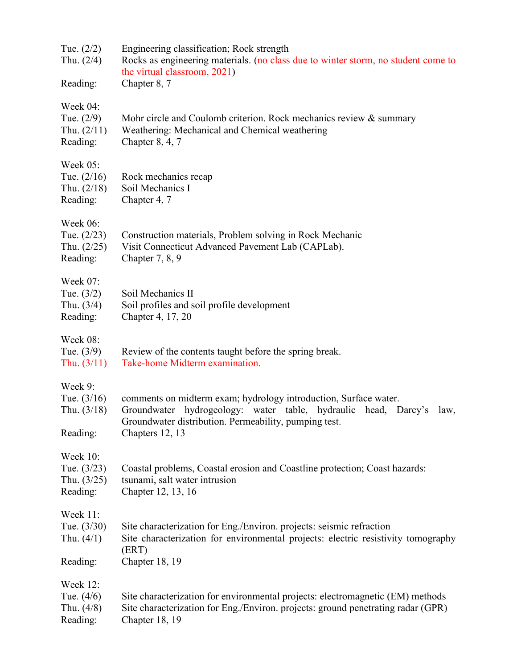| Tue. $(2/2)$<br>Thu. $(2/4)$<br>Reading:                      | Engineering classification; Rock strength<br>Rocks as engineering materials. (no class due to winter storm, no student come to<br>the virtual classroom, 2021)<br>Chapter 8, 7                                         |
|---------------------------------------------------------------|------------------------------------------------------------------------------------------------------------------------------------------------------------------------------------------------------------------------|
| Week 04:<br>Tue. $(2/9)$<br>Thu. $(2/11)$<br>Reading:         | Mohr circle and Coulomb criterion. Rock mechanics review & summary<br>Weathering: Mechanical and Chemical weathering<br>Chapter $8, 4, 7$                                                                              |
| Week $05$ :<br>Tue. $(2/16)$<br>Thu. $(2/18)$<br>Reading:     | Rock mechanics recap<br>Soil Mechanics I<br>Chapter 4, 7                                                                                                                                                               |
| Week 06:<br>Tue. $(2/23)$<br>Thu. $(2/25)$<br>Reading:        | Construction materials, Problem solving in Rock Mechanic<br>Visit Connecticut Advanced Pavement Lab (CAPLab).<br>Chapter $7, 8, 9$                                                                                     |
| <b>Week 07:</b><br>Tue. $(3/2)$<br>Thu. $(3/4)$<br>Reading:   | Soil Mechanics II<br>Soil profiles and soil profile development<br>Chapter 4, 17, 20                                                                                                                                   |
| Week 08:<br>Tue. $(3/9)$<br>Thu. $(3/11)$                     | Review of the contents taught before the spring break.<br>Take-home Midterm examination.                                                                                                                               |
| Week 9:<br>Tue. $(3/16)$<br>Thu. $(3/18)$<br>Reading:         | comments on midterm exam; hydrology introduction, Surface water.<br>Groundwater hydrogeology: water table, hydraulic head, Darcy's<br>law,<br>Groundwater distribution. Permeability, pumping test.<br>Chapters 12, 13 |
| <b>Week 10:</b><br>Tue. $(3/23)$<br>Thu. $(3/25)$<br>Reading: | Coastal problems, Coastal erosion and Coastline protection; Coast hazards:<br>tsunami, salt water intrusion<br>Chapter 12, 13, 16                                                                                      |
| Week 11:<br>Tue. $(3/30)$<br>Thu. $(4/1)$<br>Reading:         | Site characterization for Eng./Environ. projects: seismic refraction<br>Site characterization for environmental projects: electric resistivity tomography<br>(ERT)<br>Chapter 18, 19                                   |
| Week 12:<br>Tue. $(4/6)$<br>Thu. $(4/8)$<br>Reading:          | Site characterization for environmental projects: electromagnetic (EM) methods<br>Site characterization for Eng./Environ. projects: ground penetrating radar (GPR)<br>Chapter 18, 19                                   |